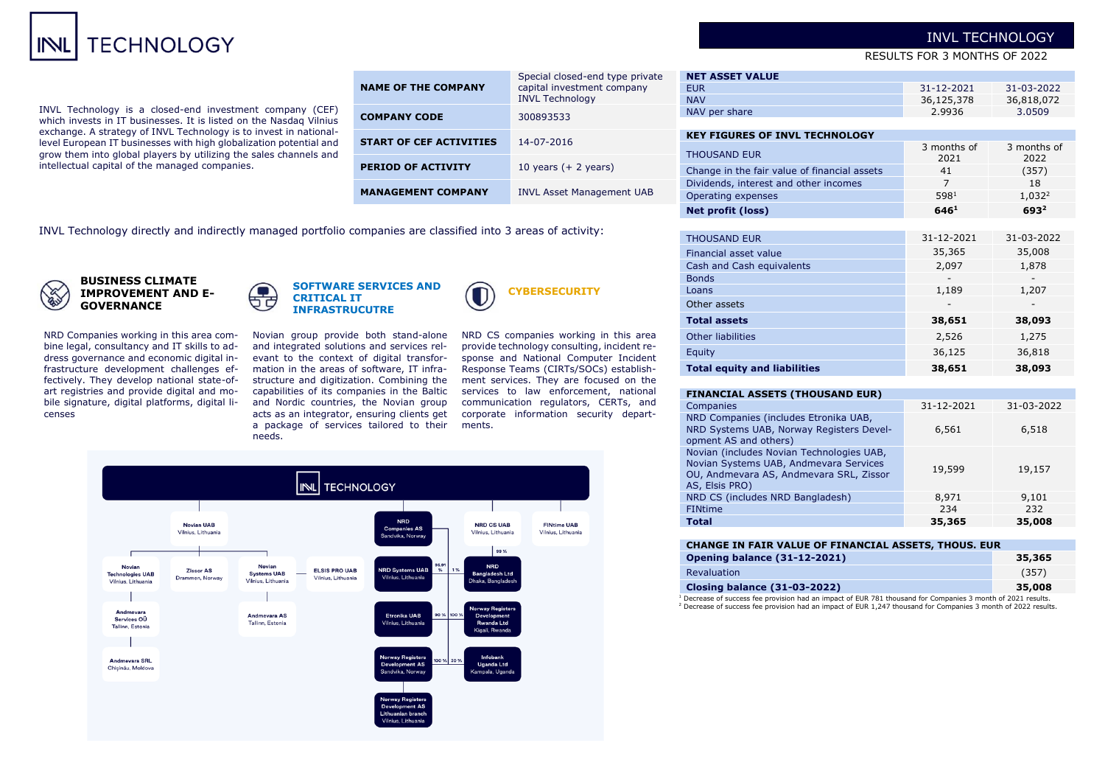# **TECHNOLOGY**

INVL Technology is a closed-end investment company (CEF) which invests in IT businesses. It is listed on the Nasdaq Vilnius exchange. A strategy of INVL Technology is to invest in nationallevel European IT businesses with high globalization potential and grow them into global players by utilizing the sales channels and intellectual capital of the managed companies.

| <b>NAME OF THE COMPANY</b>     | Special closed-end type private<br>capital investment company<br><b>INVL Technology</b> |
|--------------------------------|-----------------------------------------------------------------------------------------|
| <b>COMPANY CODE</b>            | 300893533                                                                               |
| <b>START OF CEF ACTIVITIES</b> | 14-07-2016                                                                              |
| <b>PERIOD OF ACTIVITY</b>      | 10 years $(+ 2$ years)                                                                  |
| <b>MANAGEMENT COMPANY</b>      | <b>INVL Asset Management UAB</b>                                                        |

**NET ASSET VALUE** EUR 31-12-2021 31-03-2022<br>NAV 36.125.378 36.818.072 NAV 36,125,378 36,818,072 NAV per share 2.9936 3.0509 **KEY ETCUDES OF THUL TECHNOLOGY** 

| NLI FIGUNLJ UF INVE I LUINULUGI              |                     |                     |
|----------------------------------------------|---------------------|---------------------|
| <b>THOUSAND EUR</b>                          | 3 months of<br>2021 | 3 months of<br>2022 |
| Change in the fair value of financial assets | 41                  | (357)               |
| Dividends, interest and other incomes        | 7                   | 18                  |
| Operating expenses                           | 5981                | 1,032 <sup>2</sup>  |
| Net profit (loss)                            | 646 <sup>1</sup>    | 693 <sup>2</sup>    |
|                                              |                     |                     |
| <b>THOUSAND EUR</b>                          | 31-12-2021          | 31-03-2022          |
| Financial asset value                        | 35,365              | 35,008              |
| Cash and Cash equivalents                    | 2,097               | 1,878               |
| <b>Bonds</b>                                 |                     |                     |
| Loans                                        | 1,189               | 1,207               |
| Other assets                                 |                     |                     |
| <b>Total assets</b>                          | 38,651              | 38,093              |
| <b>Other liabilities</b>                     | 2,526               | 1,275               |
| Equity                                       | 36,125              | 36,818              |
| <b>Total equity and liabilities</b>          | 38,651              | 38,093              |

#### **FINANCIAL ASSETS (THOUSAND EUR)**

| Companies                                                                                                                                        | 31-12-2021 | 31-03-2022 |
|--------------------------------------------------------------------------------------------------------------------------------------------------|------------|------------|
| NRD Companies (includes Etronika UAB,<br>NRD Systems UAB, Norway Registers Devel-<br>opment AS and others)                                       | 6,561      | 6,518      |
| Novian (includes Novian Technologies UAB,<br>Novian Systems UAB, Andmevara Services<br>OU, Andmevara AS, Andmevara SRL, Zissor<br>AS, Elsis PRO) | 19,599     | 19,157     |
| NRD CS (includes NRD Bangladesh)                                                                                                                 | 8,971      | 9,101      |
| <b>FINtime</b>                                                                                                                                   | 234        | 232        |
| <b>Total</b>                                                                                                                                     | 35,365     | 35,008     |

| CHANGE IN FAIR VALUE OF FINANCIAL ASSETS, THOUS. EUR                                                        |        |  |  |  |  |
|-------------------------------------------------------------------------------------------------------------|--------|--|--|--|--|
| <b>Opening balance (31-12-2021)</b>                                                                         | 35,365 |  |  |  |  |
| <b>Revaluation</b>                                                                                          | (357)  |  |  |  |  |
| <b>Closing balance (31-03-2022)</b>                                                                         | 35,008 |  |  |  |  |
| Concorso of cussoon for nuculates had an import of EUD 701 khousepad for Companies 3 meable of 3031 require |        |  |  |  |  |

 $1$  Decrease <sup>2</sup> Decrease of success fee provision had an impact of EUR 1,247 thousand for Companies 3 month of 2022 results.

INVL Technology directly and indirectly managed portfolio companies are classified into 3 areas of activity:



**BUSINESS CLIMATE IMPROVEMENT AND E-GOVERNANCE**

NRD Companies working in this area combine legal, consultancy and IT skills to address governance and economic digital infrastructure development challenges effectively. They develop national state-ofart registries and provide digital and mobile signature, digital platforms, digital licenses



Novian group provide both stand-alone and integrated solutions and services relevant to the context of digital transformation in the areas of software, IT infrastructure and digitization. Combining the capabilities of its companies in the Baltic and Nordic countries, the Novian group acts as an integrator, ensuring clients get a package of services tailored to their needs.

NRD CS companies working in this area provide technology consulting, incident response and National Computer Incident Response Teams (CIRTs/SOCs) establishment services. They are focused on the services to law enforcement, national communication regulators, CERTs, and corporate information security departments.

**CYBERSECURITY**



# INVL TECHNOLOGY

RESULTS FOR 3 MONTHS OF 2022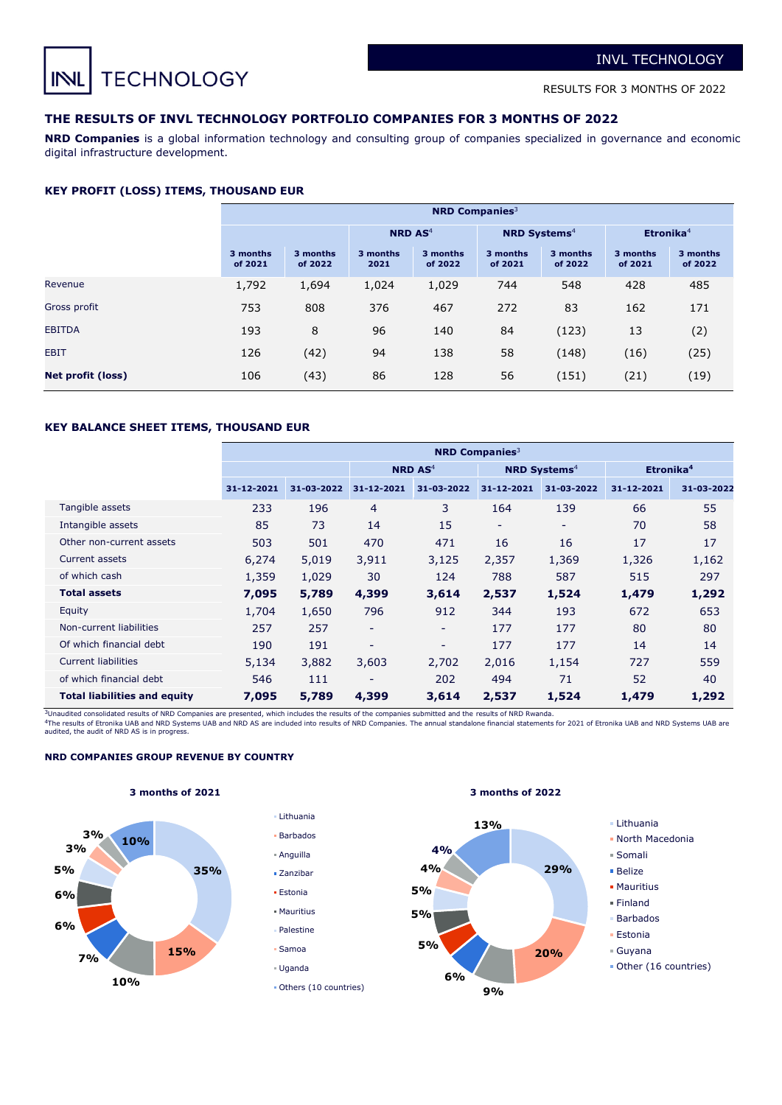**TECHNOLOGY**  $IN$ 

RESULTS FOR 3 MONTHS OF 2022

# **THE RESULTS OF INVL TECHNOLOGY PORTFOLIO COMPANIES FOR 3 MONTHS OF 2022**

**NRD Companies** is a global information technology and consulting group of companies specialized in governance and economic digital infrastructure development.

### **KEY PROFIT (LOSS) ITEMS, THOUSAND EUR**

|                          | <b>NRD Companies</b> <sup>3</sup> |                     |                           |                     |                                |                     |                     |                     |  |  |
|--------------------------|-----------------------------------|---------------------|---------------------------|---------------------|--------------------------------|---------------------|---------------------|---------------------|--|--|
|                          |                                   |                     | <b>NRD AS<sup>4</sup></b> |                     | <b>NRD Systems<sup>4</sup></b> |                     | Etronika $4$        |                     |  |  |
|                          | 3 months<br>of 2021               | 3 months<br>of 2022 | 3 months<br>2021          | 3 months<br>of 2022 | 3 months<br>of 2021            | 3 months<br>of 2022 | 3 months<br>of 2021 | 3 months<br>of 2022 |  |  |
| Revenue                  | 1,792                             | 1,694               | 1,024                     | 1,029               | 744                            | 548                 | 428                 | 485                 |  |  |
| Gross profit             | 753                               | 808                 | 376                       | 467                 | 272                            | 83                  | 162                 | 171                 |  |  |
| <b>EBITDA</b>            | 193                               | 8                   | 96                        | 140                 | 84                             | (123)               | 13                  | (2)                 |  |  |
| <b>EBIT</b>              | 126                               | (42)                | 94                        | 138                 | 58                             | (148)               | (16)                | (25)                |  |  |
| <b>Net profit (loss)</b> | 106                               | (43)                | 86                        | 128                 | 56                             | (151)               | (21)                | (19)                |  |  |

# **KEY BALANCE SHEET ITEMS, THOUSAND EUR**

|                                     | <b>NRD Companies</b> <sup>3</sup> |            |                          |                           |            |                                |                       |            |  |  |
|-------------------------------------|-----------------------------------|------------|--------------------------|---------------------------|------------|--------------------------------|-----------------------|------------|--|--|
|                                     |                                   |            |                          | <b>NRD AS<sup>4</sup></b> |            | <b>NRD Systems<sup>4</sup></b> | Etronika <sup>4</sup> |            |  |  |
|                                     | 31-12-2021                        | 31-03-2022 | 31-12-2021               | 31-03-2022                | 31-12-2021 | 31-03-2022                     | 31-12-2021            | 31-03-2022 |  |  |
| Tangible assets                     | 233                               | 196        | 4                        | 3                         | 164        | 139                            | 66                    | 55         |  |  |
| Intangible assets                   | 85                                | 73         | 14                       | 15                        | ۰          | ۰                              | 70                    | 58         |  |  |
| Other non-current assets            | 503                               | 501        | 470                      | 471                       | 16         | 16                             | 17                    | 17         |  |  |
| <b>Current assets</b>               | 6,274                             | 5,019      | 3,911                    | 3,125                     | 2,357      | 1,369                          | 1,326                 | 1,162      |  |  |
| of which cash                       | 1,359                             | 1,029      | 30                       | 124                       | 788        | 587                            | 515                   | 297        |  |  |
| <b>Total assets</b>                 | 7,095                             | 5,789      | 4,399                    | 3,614                     | 2,537      | 1,524                          | 1,479                 | 1,292      |  |  |
| Equity                              | 1,704                             | 1,650      | 796                      | 912                       | 344        | 193                            | 672                   | 653        |  |  |
| Non-current liabilities             | 257                               | 257        | $\overline{\phantom{a}}$ | ٠                         | 177        | 177                            | 80                    | 80         |  |  |
| Of which financial debt             | 190                               | 191        | ۰                        | ٠                         | 177        | 177                            | 14                    | 14         |  |  |
| <b>Current liabilities</b>          | 5,134                             | 3,882      | 3,603                    | 2,702                     | 2,016      | 1,154                          | 727                   | 559        |  |  |
| of which financial debt             | 546                               | 111        | -                        | 202                       | 494        | 71                             | 52                    | 40         |  |  |
| <b>Total liabilities and equity</b> | 7,095                             | 5,789      | 4,399                    | 3,614                     | 2,537      | 1,524                          | 1,479                 | 1,292      |  |  |

3Unaudited consolidated results of NRD Companies are presented, which includes the results of the companies submitted and the results of NRD Rwanda.

Lithuania

<sup>4</sup>The results of Etronika UAB and NRD Systems UAB and NRD AS are included into results of NRD Companies. The annual standalone financial statements for 2021 of Etronika UAB and NRD Systems UAB are<br>audited, the audit of NR

# **NRD COMPANIES GROUP REVENUE BY COUNTRY**





Others (10 countries)

#### **3 months of 2021 3 months of 2022**



- North Macedonia
- Somali
- Belize
- **Mauritius**
- Finland
- Barbados
- Estonia
- Guyana
- 
- Other (16 countries)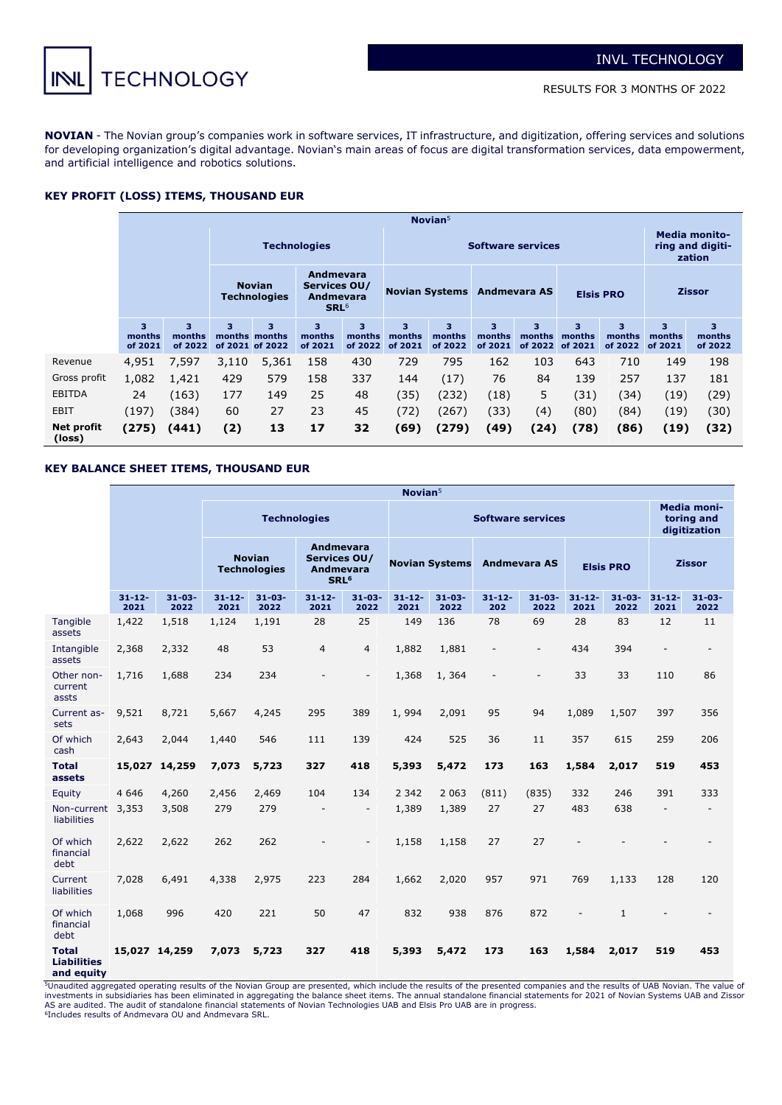

**NOVIAN** - The Novian group's companies work in software services, IT infrastructure, and digitization, offering services and solutions for developing organization's digital advantage. Novian's main areas of focus are digital transformation services, data empowerment, and artificial intelligence and robotics solutions.

# **KEY PROFIT (LOSS) ITEMS, THOUSAND EUR**

|                      | Novian $5$             |                                      |                     |                                       |                                                                          |                        |                          |                        |                         |                         |                        |                        |                                                    |                        |  |
|----------------------|------------------------|--------------------------------------|---------------------|---------------------------------------|--------------------------------------------------------------------------|------------------------|--------------------------|------------------------|-------------------------|-------------------------|------------------------|------------------------|----------------------------------------------------|------------------------|--|
|                      |                        |                                      | <b>Technologies</b> |                                       |                                                                          |                        | <b>Software services</b> |                        |                         |                         |                        |                        | <b>Media monito-</b><br>ring and digiti-<br>zation |                        |  |
|                      |                        | <b>Novian</b><br><b>Technologies</b> |                     |                                       | <b>Andmevara</b><br>Services OU/<br><b>Andmevara</b><br>SRL <sup>6</sup> |                        | <b>Novian Systems</b>    |                        | Andmevara AS            |                         |                        | <b>Elsis PRO</b>       |                                                    | <b>Zissor</b>          |  |
|                      | 3<br>months<br>of 2021 | 3<br>months<br>of 2022               | 3                   | 3<br>months months<br>of 2021 of 2022 | 3<br>months<br>of 2021                                                   | 3<br>months<br>of 2022 | 3.<br>months<br>of 2021  | 3<br>months<br>of 2022 | 3.<br>months<br>of 2021 | 3.<br>months<br>of 2022 | 3<br>months<br>of 2021 | 3<br>months<br>of 2022 | 3<br>months<br>of 2021                             | 3<br>months<br>of 2022 |  |
| Revenue              | 4,951                  | 7,597                                | 3,110               | 5,361                                 | 158                                                                      | 430                    | 729                      | 795                    | 162                     | 103                     | 643                    | 710                    | 149                                                | 198                    |  |
| Gross profit         | 1,082                  | 1,421                                | 429                 | 579                                   | 158                                                                      | 337                    | 144                      | (17)                   | 76                      | 84                      | 139                    | 257                    | 137                                                | 181                    |  |
| <b>EBITDA</b>        | 24                     | (163)                                | 177                 | 149                                   | 25                                                                       | 48                     | (35)                     | (232)                  | (18)                    | 5                       | (31)                   | (34)                   | (19)                                               | (29)                   |  |
| EBIT                 | (197)                  | (384)                                | 60                  | 27                                    | 23                                                                       | 45                     | (72)                     | (267)                  | (33)                    | (4)                     | (80)                   | (84)                   | (19)                                               | (30)                   |  |
| Net profit<br>(loss) | (275)                  | (441)                                | (2)                 | 13                                    | 17                                                                       | 32                     | (69)                     | (279)                  | (49)                    | (24)                    | (78)                   | (86)                   | (19)                                               | (32)                   |  |

# **KEY BALANCE SHEET ITEMS, THOUSAND EUR**

|                                                  | Novian <sup>5</sup> |                     |                     |                                      |                                                                   |                          |                     |                       |                     |                          |                     |                                                  |                          |                          |
|--------------------------------------------------|---------------------|---------------------|---------------------|--------------------------------------|-------------------------------------------------------------------|--------------------------|---------------------|-----------------------|---------------------|--------------------------|---------------------|--------------------------------------------------|--------------------------|--------------------------|
|                                                  |                     |                     | <b>Technologies</b> |                                      |                                                                   | <b>Software services</b> |                     |                       |                     |                          |                     | <b>Media moni-</b><br>toring and<br>digitization |                          |                          |
|                                                  |                     |                     |                     | <b>Novian</b><br><b>Technologies</b> | Andmevara<br>Services OU/<br><b>Andmevara</b><br>SRL <sup>6</sup> |                          |                     | <b>Novian Systems</b> | <b>Andmevara AS</b> |                          |                     | <b>Elsis PRO</b>                                 |                          | <b>Zissor</b>            |
|                                                  | $31 - 12 -$<br>2021 | $31 - 03 -$<br>2022 | $31 - 12 -$<br>2021 | $31 - 03 -$<br>2022                  | $31 - 12 -$<br>2021                                               | $31 - 03 -$<br>2022      | $31 - 12 -$<br>2021 | $31 - 03 -$<br>2022   | $31 - 12 -$<br>202  | $31 - 03 -$<br>2022      | $31 - 12 -$<br>2021 | $31 - 03 -$<br>2022                              | $31 - 12 -$<br>2021      | $31 - 03 -$<br>2022      |
| Tangible<br>assets                               | 1,422               | 1,518               | 1,124               | 1,191                                | 28                                                                | 25                       | 149                 | 136                   | 78                  | 69                       | 28                  | 83                                               | 12                       | 11                       |
| Intangible<br>assets                             | 2,368               | 2,332               | 48                  | 53                                   | $\overline{4}$                                                    | 4                        | 1,882               | 1,881                 | $\overline{a}$      | $\overline{\phantom{a}}$ | 434                 | 394                                              | L,                       | $\blacksquare$           |
| Other non-<br>current<br>assts                   | 1,716               | 1,688               | 234                 | 234                                  | $\blacksquare$                                                    | $\overline{\phantom{a}}$ | 1,368               | 1,364                 | $\overline{a}$      | $\overline{\phantom{a}}$ | 33                  | 33                                               | 110                      | 86                       |
| Current as-<br>sets                              | 9,521               | 8,721               | 5,667               | 4,245                                | 295                                                               | 389                      | 1,994               | 2,091                 | 95                  | 94                       | 1,089               | 1,507                                            | 397                      | 356                      |
| Of which<br>cash                                 | 2,643               | 2,044               | 1,440               | 546                                  | 111                                                               | 139                      | 424                 | 525                   | 36                  | 11                       | 357                 | 615                                              | 259                      | 206                      |
| <b>Total</b><br>assets                           |                     | 15,027 14,259       | 7,073               | 5,723                                | 327                                                               | 418                      | 5,393               | 5,472                 | 173                 | 163                      | 1,584               | 2,017                                            | 519                      | 453                      |
| Equity                                           | 4 6 4 6             | 4,260               | 2,456               | 2,469                                | 104                                                               | 134                      | 2 3 4 2             | 2 0 6 3               | (811)               | (835)                    | 332                 | 246                                              | 391                      | 333                      |
| Non-current<br>liabilities                       | 3,353               | 3,508               | 279                 | 279                                  | $\overline{\phantom{a}}$                                          | $\overline{\phantom{a}}$ | 1,389               | 1,389                 | 27                  | 27                       | 483                 | 638                                              | $\overline{\phantom{a}}$ | $\overline{\phantom{a}}$ |
| Of which<br>financial<br>debt                    | 2,622               | 2,622               | 262                 | 262                                  |                                                                   | $\overline{a}$           | 1,158               | 1,158                 | 27                  | 27                       |                     |                                                  |                          |                          |
| Current<br>liabilities                           | 7,028               | 6,491               | 4,338               | 2,975                                | 223                                                               | 284                      | 1,662               | 2,020                 | 957                 | 971                      | 769                 | 1,133                                            | 128                      | 120                      |
| Of which<br>financial<br>debt                    | 1,068               | 996                 | 420                 | 221                                  | 50                                                                | 47                       | 832                 | 938                   | 876                 | 872                      | $\blacksquare$      | $\mathbf{1}$                                     | L,                       | ٠                        |
| <b>Total</b><br><b>Liabilities</b><br>and equity | 15,027 14,259       |                     | 7,073               | 5,723                                | 327                                                               | 418                      | 5,393               | 5,472                 | 173                 | 163                      | 1,584               | 2,017                                            | 519                      | 453                      |

5Unaudited aggregated operating results of the Novian Group are presented, which include the results of the presented companies and the results of UAB Novian. The value of investments in subsidiaries has been eliminated in aggregating the balance sheet items. The annual standalone financial statements for 2021 of Novian Systems UAB and Zissor<br>AS are audited. The audit of standalone financial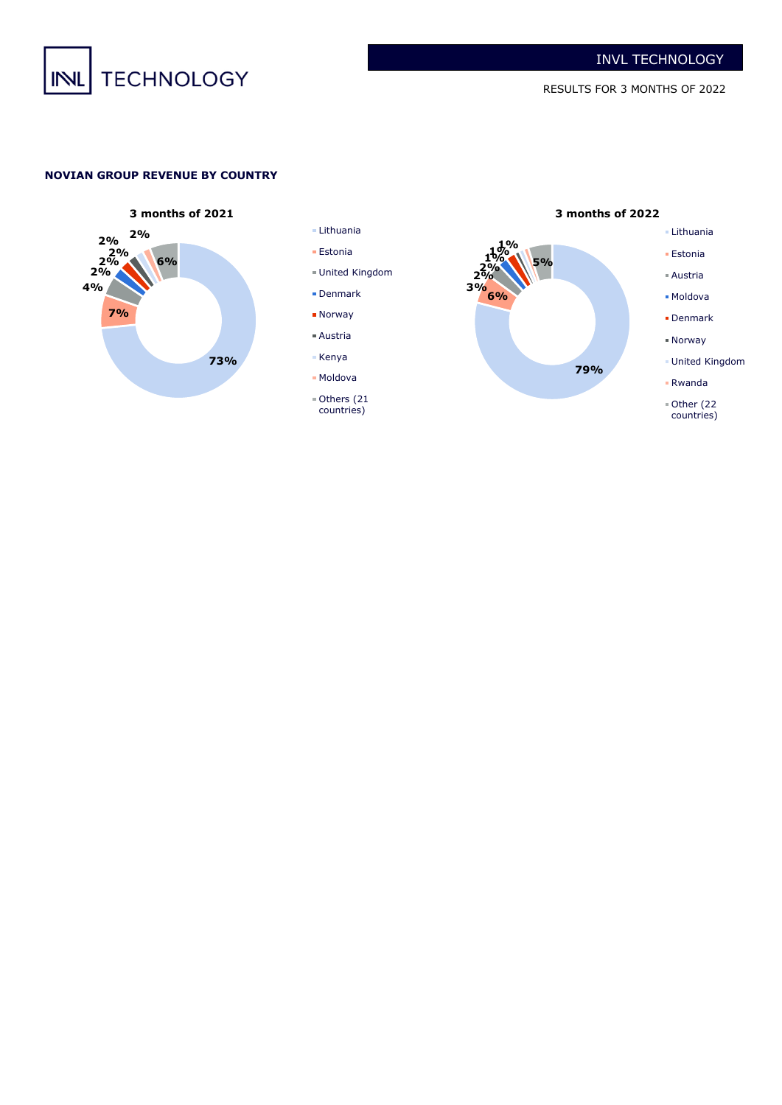

# **NOVIAN GROUP REVENUE BY COUNTRY**